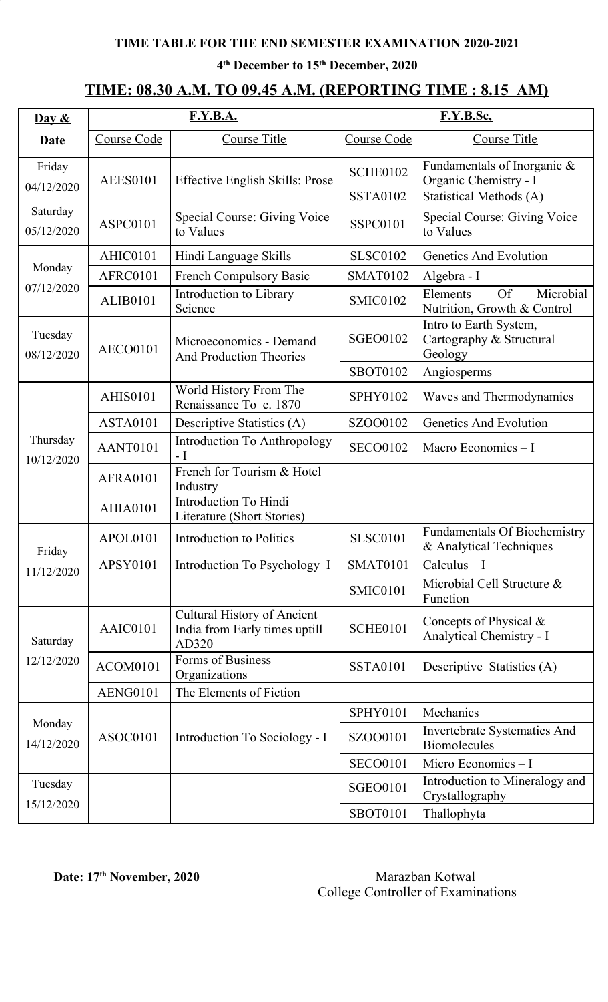**4 th December to 15 th December, 2020**

## **TIME: 08.30 A.M. TO 09.45 A.M. (REPORTING TIME : 8.15 AM)**

| $\overline{\text{Day } 8}$ |                 | <b>F.Y.B.A.</b>                                                              | F.Y.B.Sc.       |                                                                   |  |
|----------------------------|-----------------|------------------------------------------------------------------------------|-----------------|-------------------------------------------------------------------|--|
| <b>Date</b>                | Course Code     | <b>Course Title</b>                                                          | Course Code     | <b>Course Title</b>                                               |  |
| Friday<br>04/12/2020       | <b>AEES0101</b> | <b>Effective English Skills: Prose</b>                                       | <b>SCHE0102</b> | Fundamentals of Inorganic &<br>Organic Chemistry - I              |  |
|                            |                 |                                                                              | <b>SSTA0102</b> | Statistical Methods (A)                                           |  |
| Saturday<br>05/12/2020     | ASPC0101        | Special Course: Giving Voice<br>to Values                                    | <b>SSPC0101</b> | Special Course: Giving Voice<br>to Values                         |  |
|                            | AHIC0101        | Hindi Language Skills                                                        | <b>SLSC0102</b> | Genetics And Evolution                                            |  |
| Monday                     | AFRC0101        | <b>French Compulsory Basic</b>                                               | <b>SMAT0102</b> | Algebra - I                                                       |  |
| 07/12/2020                 | <b>ALIB0101</b> | Introduction to Library<br>Science                                           | <b>SMIC0102</b> | <b>Of</b><br>Microbial<br>Elements<br>Nutrition, Growth & Control |  |
| Tuesday<br>08/12/2020      | <b>AECO0101</b> | Microeconomics - Demand<br><b>And Production Theories</b>                    | <b>SGEO0102</b> | Intro to Earth System,<br>Cartography & Structural<br>Geology     |  |
|                            |                 |                                                                              | <b>SBOT0102</b> | Angiosperms                                                       |  |
|                            | <b>AHIS0101</b> | World History From The<br>Renaissance To c. 1870                             | <b>SPHY0102</b> | Waves and Thermodynamics                                          |  |
|                            | <b>ASTA0101</b> | Descriptive Statistics (A)                                                   | SZOO0102        | Genetics And Evolution                                            |  |
| Thursday<br>10/12/2020     | AANT0101        | <b>Introduction To Anthropology</b><br>- I                                   | <b>SECO0102</b> | Macro Economics $-I$                                              |  |
|                            | <b>AFRA0101</b> | French for Tourism & Hotel<br>Industry                                       |                 |                                                                   |  |
|                            | <b>AHIA0101</b> | <b>Introduction To Hindi</b><br>Literature (Short Stories)                   |                 |                                                                   |  |
| Friday<br>11/12/2020       | APOL0101        | <b>Introduction to Politics</b>                                              | <b>SLSC0101</b> | <b>Fundamentals Of Biochemistry</b><br>& Analytical Techniques    |  |
|                            | <b>APSY0101</b> | Introduction To Psychology I                                                 | <b>SMAT0101</b> | $Calculus - I$                                                    |  |
|                            |                 |                                                                              | <b>SMIC0101</b> | Microbial Cell Structure &<br>Function                            |  |
| Saturday                   | AAIC0101        | <b>Cultural History of Ancient</b><br>India from Early times uptill<br>AD320 | <b>SCHE0101</b> | Concepts of Physical $\&$<br>Analytical Chemistry - I             |  |
| 12/12/2020                 | ACOM0101        | Forms of Business<br>Organizations                                           | <b>SSTA0101</b> | Descriptive Statistics (A)                                        |  |
|                            | <b>AENG0101</b> | The Elements of Fiction                                                      |                 |                                                                   |  |
|                            |                 |                                                                              | SPHY0101        | Mechanics                                                         |  |
| Monday<br>14/12/2020       | ASOC0101        | Introduction To Sociology - I                                                | SZOO0101        | Invertebrate Systematics And<br><b>Biomolecules</b>               |  |
|                            |                 |                                                                              | <b>SECO0101</b> | Micro Economics - I                                               |  |
| Tuesday                    |                 |                                                                              | <b>SGEO0101</b> | Introduction to Mineralogy and<br>Crystallography                 |  |
| 15/12/2020                 |                 |                                                                              | <b>SBOT0101</b> | Thallophyta                                                       |  |

#### **Date:** 17<sup>th</sup> November, 2020 Marazban Kotwal College Controller of Examinations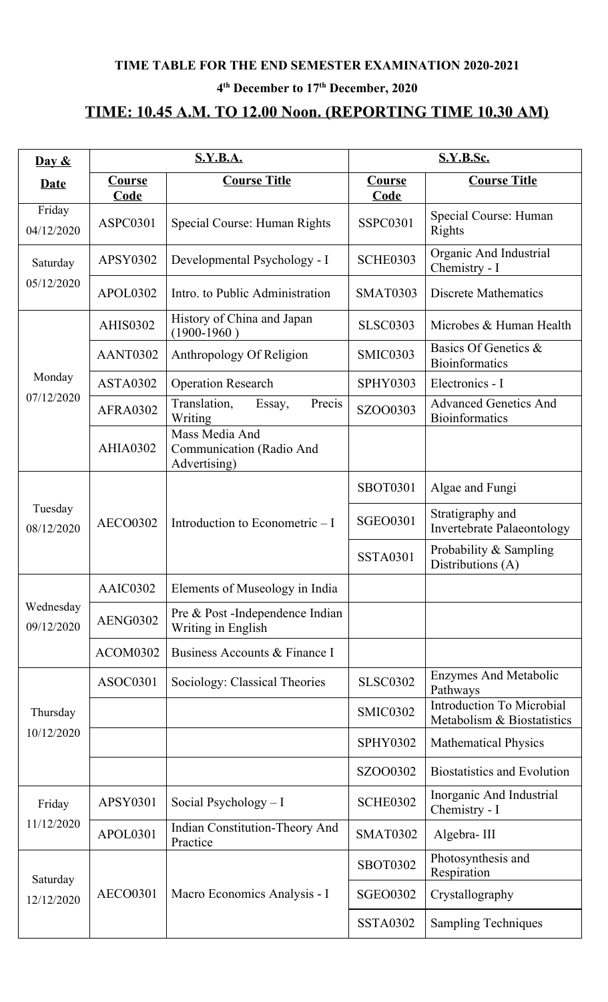#### **4 th December to 17 th December, 2020**

# **TIME: 10.45 A.M. TO 12.00 Noon. (REPORTING TIME 10.30 AM)**

| Day $\&$                |                              | <b>S.Y.B.A.</b>                                            | <b>S.Y.B.Sc.</b>      |                                                                |  |
|-------------------------|------------------------------|------------------------------------------------------------|-----------------------|----------------------------------------------------------------|--|
| <b>Date</b>             | <b>Course</b><br><b>Code</b> | <b>Course Title</b>                                        | Course<br><b>Code</b> | <b>Course Title</b>                                            |  |
| Friday<br>04/12/2020    | ASPC0301                     | Special Course: Human Rights                               | <b>SSPC0301</b>       | Special Course: Human<br>Rights                                |  |
| Saturday                | APSY0302                     | Developmental Psychology - I                               | <b>SCHE0303</b>       | Organic And Industrial<br>Chemistry - I                        |  |
| 05/12/2020              | APOL0302                     | Intro. to Public Administration                            | <b>SMAT0303</b>       | <b>Discrete Mathematics</b>                                    |  |
|                         | <b>AHIS0302</b>              | History of China and Japan<br>$(1900-1960)$                | <b>SLSC0303</b>       | Microbes & Human Health                                        |  |
|                         | AANT0302                     | Anthropology Of Religion                                   | SMIC0303              | Basics Of Genetics &<br><b>Bioinformatics</b>                  |  |
| Monday                  | <b>ASTA0302</b>              | <b>Operation Research</b>                                  | <b>SPHY0303</b>       | Electronics - I                                                |  |
| 07/12/2020              | <b>AFRA0302</b>              | Translation,<br>Essay,<br>Precis<br>Writing                | SZOO0303              | <b>Advanced Genetics And</b><br><b>Bioinformatics</b>          |  |
|                         | <b>AHIA0302</b>              | Mass Media And<br>Communication (Radio And<br>Advertising) |                       |                                                                |  |
|                         | <b>AECO0302</b>              |                                                            | <b>SBOT0301</b>       | Algae and Fungi                                                |  |
| Tuesday<br>08/12/2020   |                              | Introduction to Econometric $-I$                           | <b>SGEO0301</b>       | Stratigraphy and<br><b>Invertebrate Palaeontology</b>          |  |
|                         |                              |                                                            |                       | Probability & Sampling<br>Distributions (A)                    |  |
|                         | AAIC0302                     | Elements of Museology in India                             |                       |                                                                |  |
| Wednesday<br>09/12/2020 | AENG0302                     | Pre & Post-Independence Indian<br>Writing in English       |                       |                                                                |  |
|                         | <b>ACOM0302</b>              | Business Accounts & Finance I                              |                       |                                                                |  |
|                         | ASOC0301                     | Sociology: Classical Theories                              | <b>SLSC0302</b>       | <b>Enzymes And Metabolic</b><br>Pathways                       |  |
| Thursday                |                              |                                                            | <b>SMIC0302</b>       | <b>Introduction To Microbial</b><br>Metabolism & Biostatistics |  |
| 10/12/2020              |                              |                                                            | <b>SPHY0302</b>       | <b>Mathematical Physics</b>                                    |  |
|                         |                              |                                                            | SZOO0302              | <b>Biostatistics and Evolution</b>                             |  |
| Friday                  | APSY0301                     | Social Psychology $-I$                                     | <b>SCHE0302</b>       | Inorganic And Industrial<br>Chemistry - I                      |  |
| 11/12/2020              | APOL0301                     | <b>Indian Constitution-Theory And</b><br>Practice          | <b>SMAT0302</b>       | Algebra-III                                                    |  |
| Saturday                |                              |                                                            | <b>SBOT0302</b>       | Photosynthesis and<br>Respiration                              |  |
| 12/12/2020              | <b>AECO0301</b>              | Macro Economics Analysis - I                               | <b>SGEO0302</b>       | Crystallography                                                |  |
|                         |                              |                                                            | <b>SSTA0302</b>       | <b>Sampling Techniques</b>                                     |  |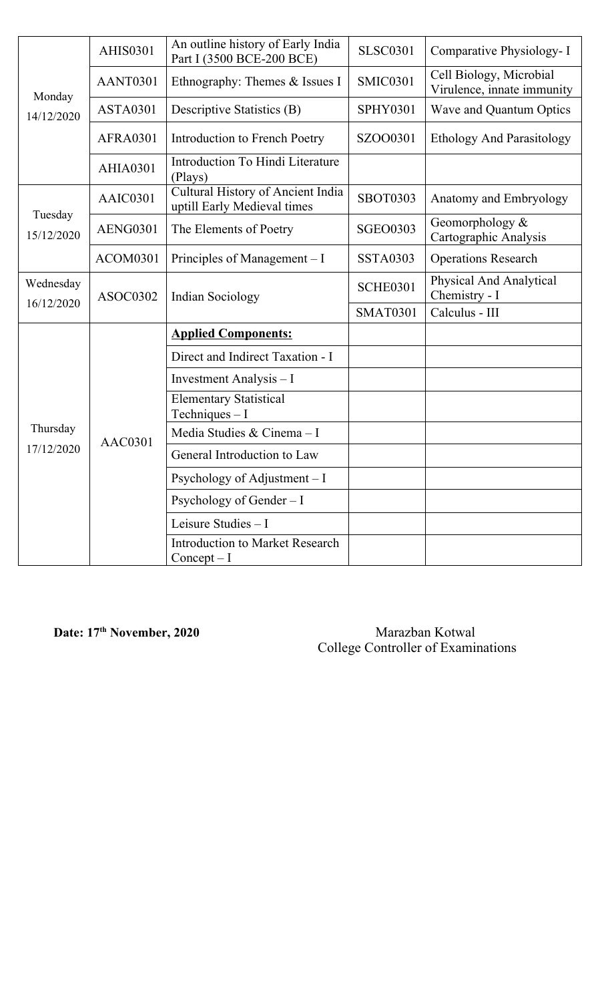| Monday<br>14/12/2020  | <b>AHIS0301</b> | An outline history of Early India<br>Part I (3500 BCE-200 BCE)   | <b>SLSC0301</b> | Comparative Physiology- I                             |
|-----------------------|-----------------|------------------------------------------------------------------|-----------------|-------------------------------------------------------|
|                       | AANT0301        | Ethnography: Themes & Issues I                                   | <b>SMIC0301</b> | Cell Biology, Microbial<br>Virulence, innate immunity |
|                       | ASTA0301        | <b>Descriptive Statistics (B)</b>                                | <b>SPHY0301</b> | Wave and Quantum Optics                               |
|                       | <b>AFRA0301</b> | Introduction to French Poetry                                    | SZOO0301        | <b>Ethology And Parasitology</b>                      |
|                       | <b>AHIA0301</b> | Introduction To Hindi Literature<br>(Plays)                      |                 |                                                       |
|                       | AAIC0301        | Cultural History of Ancient India<br>uptill Early Medieval times | <b>SBOT0303</b> | Anatomy and Embryology                                |
| Tuesday<br>15/12/2020 | <b>AENG0301</b> | The Elements of Poetry                                           | <b>SGEO0303</b> | Geomorphology $\&$<br>Cartographic Analysis           |
|                       | ACOM0301        | Principles of Management – I                                     | <b>SSTA0303</b> | <b>Operations Research</b>                            |
| Wednesday             | ASOC0302        | <b>Indian Sociology</b>                                          | <b>SCHE0301</b> | Physical And Analytical<br>Chemistry - I              |
| 16/12/2020            |                 |                                                                  | <b>SMAT0301</b> | Calculus - III                                        |
|                       |                 | <b>Applied Components:</b>                                       |                 |                                                       |
|                       |                 | Direct and Indirect Taxation - I                                 |                 |                                                       |
|                       |                 | Investment Analysis - I                                          |                 |                                                       |
|                       |                 | <b>Elementary Statistical</b><br>Techniques $-I$                 |                 |                                                       |
| Thursday              | <b>AAC0301</b>  | Media Studies & Cinema - I                                       |                 |                                                       |
| 17/12/2020            |                 | General Introduction to Law                                      |                 |                                                       |
|                       |                 | Psychology of Adjustment $-I$                                    |                 |                                                       |
|                       |                 | Psychology of Gender $-1$                                        |                 |                                                       |
|                       |                 | Leisure Studies - I                                              |                 |                                                       |
|                       |                 | <b>Introduction to Market Research</b><br>$Concept-I$            |                 |                                                       |

**Date: 17**

**th November, 2020** Marazban Kotwal College Controller of Examinations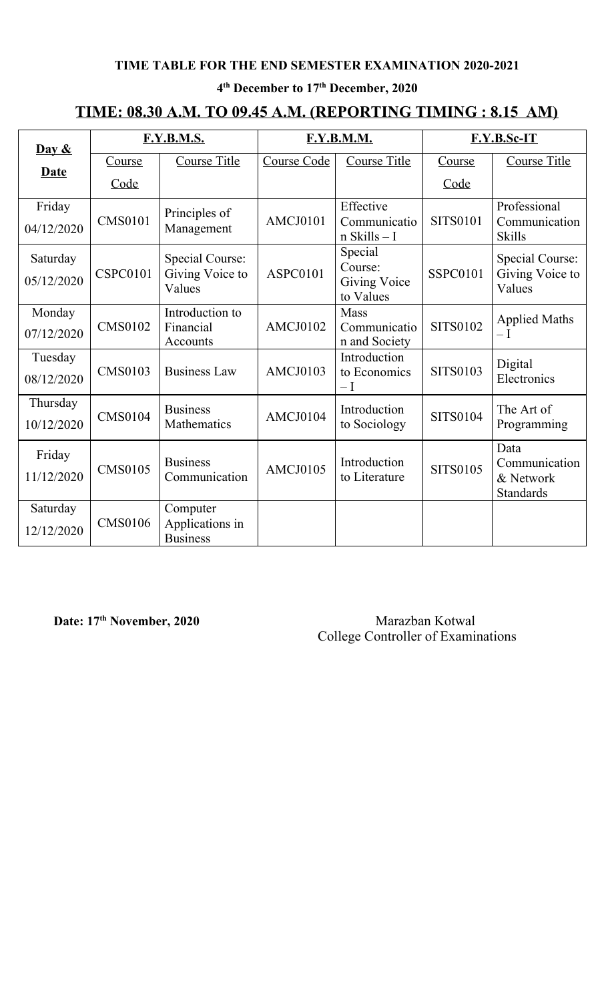#### **4 th December to 17 th December, 2020**

## **TIME: 08.30 A.M. TO 09.45 A.M. (REPORTING TIMING : 8.15 AM)**

|                            | <b>F.Y.B.M.S.</b> |                       | <b>F.Y.B.M.M.</b>  |                                  | F.Y.B.Sc-IT     |                                |
|----------------------------|-------------------|-----------------------|--------------------|----------------------------------|-----------------|--------------------------------|
| $\overline{\text{Day } 8}$ |                   |                       |                    |                                  |                 |                                |
| Date                       | <b>Course</b>     | <b>Course Title</b>   | <b>Course Code</b> | <b>Course Title</b>              | Course          | <b>Course Title</b>            |
|                            | Code              |                       |                    |                                  | Code            |                                |
| Friday                     |                   | Principles of         |                    | Effective                        |                 | Professional                   |
| 04/12/2020                 | <b>CMS0101</b>    | Management            | AMCJ0101           | Communicatio<br>$n$ Skills $-1$  | <b>SITS0101</b> | Communication<br><b>Skills</b> |
| Saturday                   |                   | Special Course:       |                    | Special                          |                 | <b>Special Course:</b>         |
|                            | <b>CSPC0101</b>   | Giving Voice to       | <b>ASPC0101</b>    | Course:                          | <b>SSPC0101</b> | Giving Voice to                |
|                            | 05/12/2020        | Values                |                    | <b>Giving Voice</b><br>to Values |                 | Values                         |
| Monday                     |                   | Introduction to       |                    | Mass                             |                 | <b>Applied Maths</b>           |
| 07/12/2020                 | <b>CMS0102</b>    | Financial<br>Accounts | AMCJ0102           | Communicatio<br>n and Society    | <b>SITS0102</b> | $-I$                           |
| Tuesday                    |                   |                       |                    | Introduction                     |                 | Digital                        |
| 08/12/2020                 | <b>CMS0103</b>    | <b>Business Law</b>   | AMCJ0103           | to Economics<br>$-\mathrm{I}$    | <b>SITS0103</b> | Electronics                    |
| Thursday                   |                   | <b>Business</b>       |                    | Introduction                     |                 | The Art of                     |
| 10/12/2020                 | <b>CMS0104</b>    | Mathematics           | AMCJ0104           | to Sociology                     | <b>SITS0104</b> | Programming                    |
| Friday                     |                   |                       |                    |                                  |                 | Data                           |
|                            | <b>CMS0105</b>    | <b>Business</b>       | AMCJ0105           | Introduction                     | <b>SITS0105</b> | Communication                  |
| 11/12/2020                 |                   | Communication         |                    | to Literature                    |                 | & Network<br>Standards         |
| Saturday                   |                   | Computer              |                    |                                  |                 |                                |
| 12/12/2020                 | <b>CMS0106</b>    | Applications in       |                    |                                  |                 |                                |
|                            |                   | <b>Business</b>       |                    |                                  |                 |                                |

**Date:** 17<sup>th</sup> November, 2020 Marazban Kotwal College Controller of Examinations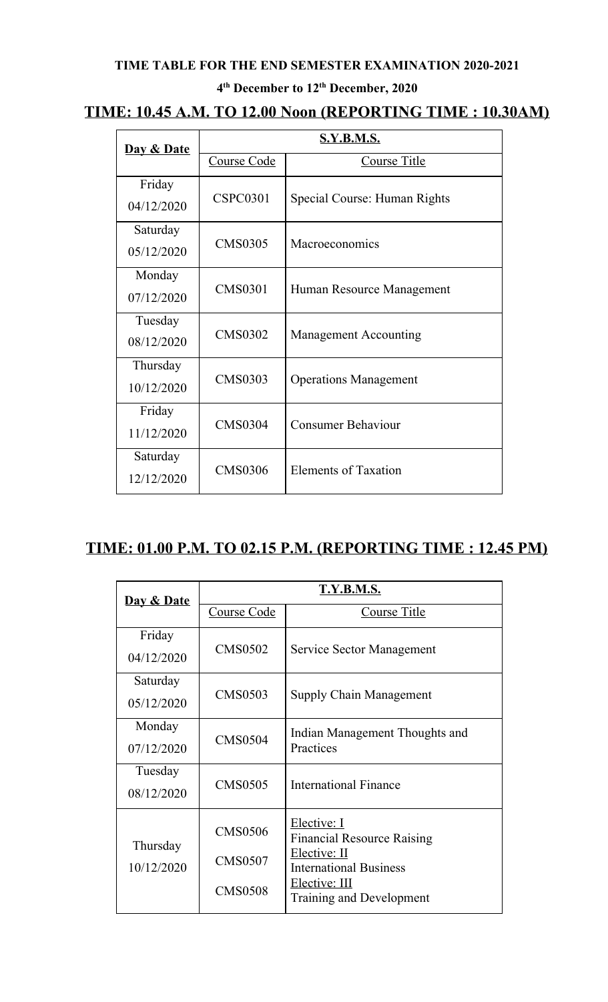#### **4 th December to 12 th December, 2020**

## **TIME: 10.45 A.M. TO 12.00 Noon (REPORTING TIME : 10.30AM)**

| Day & Date             | <b>S.Y.B.M.S.</b> |                              |  |
|------------------------|-------------------|------------------------------|--|
|                        | Course Code       | Course Title                 |  |
| Friday<br>04/12/2020   | <b>CSPC0301</b>   | Special Course: Human Rights |  |
| Saturday<br>05/12/2020 | <b>CMS0305</b>    | Macroeconomics               |  |
| Monday<br>07/12/2020   | <b>CMS0301</b>    | Human Resource Management    |  |
| Tuesday<br>08/12/2020  | <b>CMS0302</b>    | <b>Management Accounting</b> |  |
| Thursday<br>10/12/2020 | <b>CMS0303</b>    | <b>Operations Management</b> |  |
| Friday<br>11/12/2020   | <b>CMS0304</b>    | <b>Consumer Behaviour</b>    |  |
| Saturday<br>12/12/2020 | <b>CMS0306</b>    | Elements of Taxation         |  |

## **TIME: 01.00 P.M. TO 02.15 P.M. (REPORTING TIME : 12.45 PM)**

| Day & Date | <b>T.Y.B.M.S.</b> |                                                   |  |  |
|------------|-------------------|---------------------------------------------------|--|--|
|            | Course Code       | <b>Course Title</b>                               |  |  |
| Friday     |                   |                                                   |  |  |
| 04/12/2020 | <b>CMS0502</b>    | Service Sector Management                         |  |  |
| Saturday   |                   |                                                   |  |  |
| 05/12/2020 | <b>CMS0503</b>    | <b>Supply Chain Management</b>                    |  |  |
| Monday     |                   | Indian Management Thoughts and                    |  |  |
| 07/12/2020 | <b>CMS0504</b>    | Practices                                         |  |  |
| Tuesday    |                   |                                                   |  |  |
| 08/12/2020 | <b>CMS0505</b>    | International Finance                             |  |  |
|            | <b>CMS0506</b>    | Elective: I                                       |  |  |
| Thursday   |                   | <b>Financial Resource Raising</b><br>Elective: II |  |  |
| 10/12/2020 | <b>CMS0507</b>    | <b>International Business</b>                     |  |  |
|            | <b>CMS0508</b>    | Elective: III                                     |  |  |
|            |                   | Training and Development                          |  |  |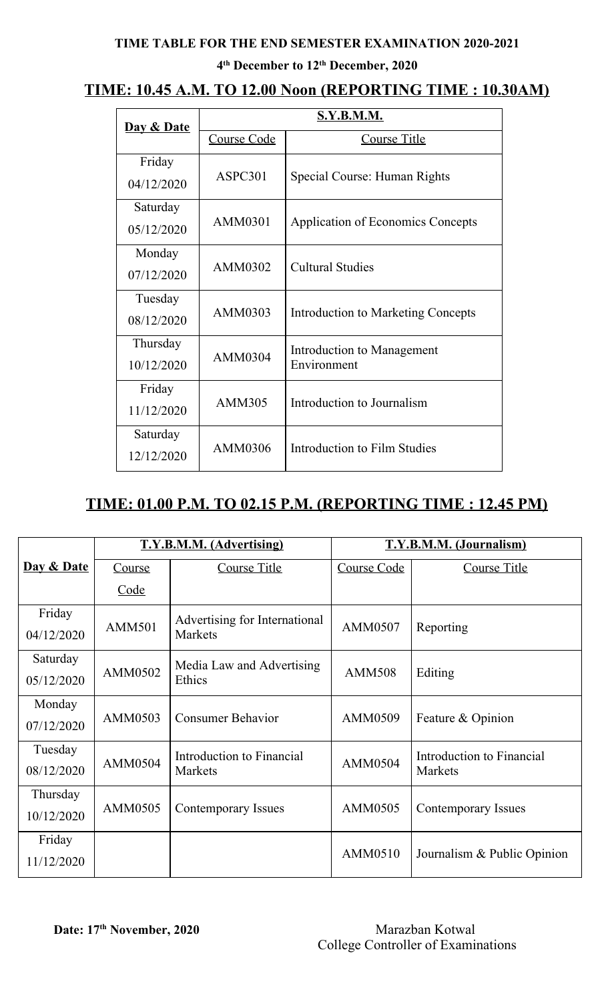#### **4 th December to 12 th December, 2020**

## **TIME: 10.45 A.M. TO 12.00 Noon (REPORTING TIME : 10.30AM)**

| <b>Day &amp; Date</b> | S.Y.B.M.M.    |                                          |  |  |
|-----------------------|---------------|------------------------------------------|--|--|
|                       | Course Code   | Course Title                             |  |  |
| Friday                | ASPC301       | Special Course: Human Rights             |  |  |
| 04/12/2020            |               |                                          |  |  |
| Saturday              | AMM0301       | <b>Application of Economics Concepts</b> |  |  |
| 05/12/2020            |               |                                          |  |  |
| Monday                | AMM0302       | <b>Cultural Studies</b>                  |  |  |
| 07/12/2020            |               |                                          |  |  |
| Tuesday               | AMM0303       | Introduction to Marketing Concepts       |  |  |
| 08/12/2020            |               |                                          |  |  |
| Thursday              | AMM0304       | Introduction to Management               |  |  |
| 10/12/2020            |               | Environment                              |  |  |
| Friday                | <b>AMM305</b> | Introduction to Journalism               |  |  |
| 11/12/2020            |               |                                          |  |  |
| Saturday              | AMM0306       | Introduction to Film Studies             |  |  |
| 12/12/2020            |               |                                          |  |  |

## **TIME: 01.00 P.M. TO 02.15 P.M. (REPORTING TIME : 12.45 PM)**

|                        |               | <b>T.Y.B.M.M. (Advertising)</b>                 | T.Y.B.M.M. (Journalism) |                                      |  |
|------------------------|---------------|-------------------------------------------------|-------------------------|--------------------------------------|--|
| Day & Date             | Course        | <b>Course Title</b>                             | Course Code             | <b>Course Title</b>                  |  |
|                        | Code          |                                                 |                         |                                      |  |
| Friday<br>04/12/2020   | <b>AMM501</b> | Advertising for International<br><b>Markets</b> | AMM0507                 | Reporting                            |  |
| Saturday<br>05/12/2020 | AMM0502       | Media Law and Advertising<br>Ethics             | <b>AMM508</b>           | Editing                              |  |
| Monday<br>07/12/2020   | AMM0503       | <b>Consumer Behavior</b>                        | AMM0509                 | Feature & Opinion                    |  |
| Tuesday<br>08/12/2020  | AMM0504       | Introduction to Financial<br><b>Markets</b>     | AMM0504                 | Introduction to Financial<br>Markets |  |
| Thursday<br>10/12/2020 | AMM0505       | Contemporary Issues                             | AMM0505                 | Contemporary Issues                  |  |
| Friday<br>11/12/2020   |               |                                                 | AMM0510                 | Journalism & Public Opinion          |  |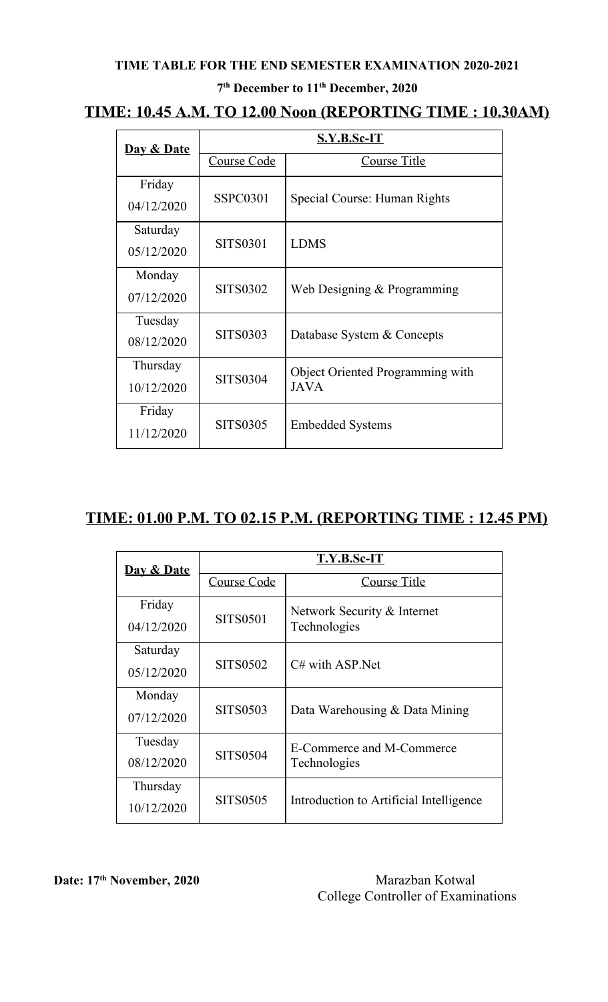#### **7 th December to 11 th December, 2020**

## **TIME: 10.45 A.M. TO 12.00 Noon (REPORTING TIME : 10.30AM)**

| Day & Date | S.Y.B.Sc-IT     |                                  |  |  |
|------------|-----------------|----------------------------------|--|--|
|            | Course Code     | Course Title                     |  |  |
| Friday     | SSPC0301        | Special Course: Human Rights     |  |  |
| 04/12/2020 |                 |                                  |  |  |
| Saturday   | <b>SITS0301</b> | <b>LDMS</b>                      |  |  |
| 05/12/2020 |                 |                                  |  |  |
| Monday     | <b>SITS0302</b> |                                  |  |  |
| 07/12/2020 |                 | Web Designing & Programming      |  |  |
| Tuesday    | <b>SITS0303</b> |                                  |  |  |
| 08/12/2020 |                 | Database System & Concepts       |  |  |
| Thursday   | <b>SITS0304</b> | Object Oriented Programming with |  |  |
| 10/12/2020 |                 | <b>JAVA</b>                      |  |  |
| Friday     | <b>SITS0305</b> |                                  |  |  |
| 11/12/2020 |                 | <b>Embedded Systems</b>          |  |  |

## **TIME: 01.00 P.M. TO 02.15 P.M. (REPORTING TIME : 12.45 PM)**

| Day & Date | T.Y.B.Sc-IT     |                                         |  |  |
|------------|-----------------|-----------------------------------------|--|--|
|            | Course Code     | Course Title                            |  |  |
| Friday     | <b>SITS0501</b> | Network Security & Internet             |  |  |
| 04/12/2020 |                 | Technologies                            |  |  |
| Saturday   | SITS0502        | $C#$ with ASP Net                       |  |  |
| 05/12/2020 |                 |                                         |  |  |
| Monday     | SITS0503        |                                         |  |  |
| 07/12/2020 |                 | Data Warehousing & Data Mining          |  |  |
| Tuesday    | <b>SITS0504</b> | E-Commerce and M-Commerce               |  |  |
| 08/12/2020 |                 | Technologies                            |  |  |
| Thursday   | <b>SITS0505</b> |                                         |  |  |
| 10/12/2020 |                 | Introduction to Artificial Intelligence |  |  |

**Date:** 17<sup>th</sup> November, 2020 Marazban Kotwal College Controller of Examinations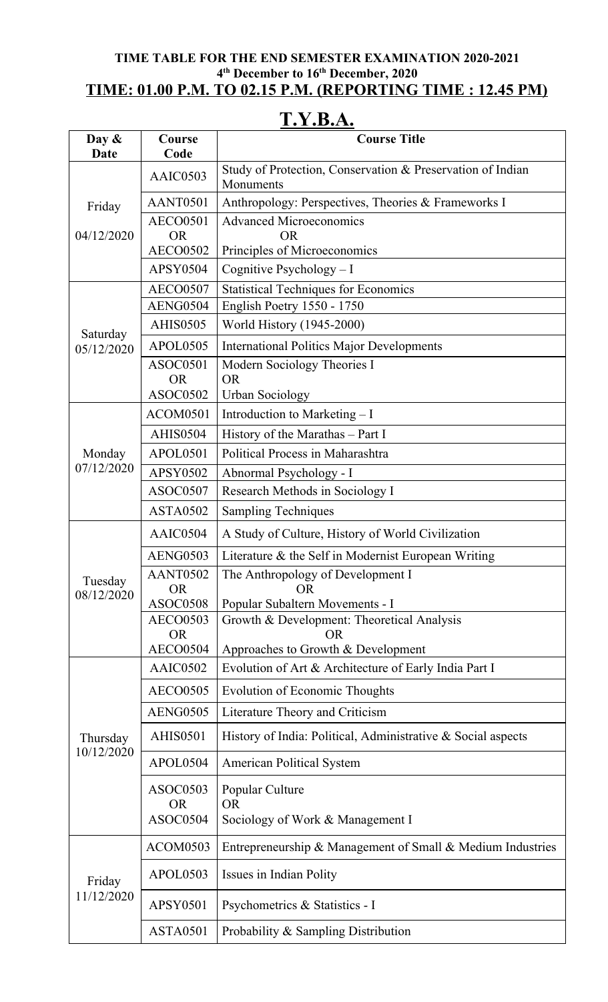#### **TIME TABLE FOR THE END SEMESTER EXAMINATION 2020-2021 4 th December to 16 th December, 2020 TIME: 01.00 P.M. TO 02.15 P.M. (REPORTING TIME : 12.45 PM)**

# **T.Y.B.A.**

| Day $\&$<br>Date       | Course<br>Code               | <b>Course Title</b>                                                       |
|------------------------|------------------------------|---------------------------------------------------------------------------|
|                        | AAIC0503                     | Study of Protection, Conservation & Preservation of Indian<br>Monuments   |
| Friday                 | AANT0501                     | Anthropology: Perspectives, Theories & Frameworks I                       |
|                        | <b>AECO0501</b>              | <b>Advanced Microeconomics</b>                                            |
| 04/12/2020             | <b>OR</b>                    | <b>OR</b>                                                                 |
|                        | <b>AECO0502</b><br>APSY0504  | Principles of Microeconomics                                              |
|                        |                              | Cognitive Psychology - I                                                  |
|                        | <b>AECO0507</b><br>AENG0504  | <b>Statistical Techniques for Economics</b><br>English Poetry 1550 - 1750 |
|                        | <b>AHIS0505</b>              | World History (1945-2000)                                                 |
| Saturday               | APOL0505                     | <b>International Politics Major Developments</b>                          |
| 05/12/2020             | ASOC0501                     | Modern Sociology Theories I                                               |
|                        | <b>OR</b>                    | <b>OR</b>                                                                 |
|                        | ASOC0502                     | <b>Urban Sociology</b>                                                    |
|                        | ACOM0501                     | Introduction to Marketing - I                                             |
|                        | <b>AHIS0504</b>              | History of the Marathas – Part I                                          |
| Monday                 | APOL0501                     | Political Process in Maharashtra                                          |
| 07/12/2020             | APSY0502                     | Abnormal Psychology - I                                                   |
|                        | ASOC0507                     | Research Methods in Sociology I                                           |
|                        | ASTA0502                     | <b>Sampling Techniques</b>                                                |
|                        | AAIC0504                     | A Study of Culture, History of World Civilization                         |
|                        | <b>AENG0503</b>              | Literature & the Self in Modernist European Writing                       |
| Tuesday                | AANT0502                     | The Anthropology of Development I                                         |
| 08/12/2020             | <b>OR</b><br><b>ASOC0508</b> | <b>OR</b><br>Popular Subaltern Movements - I                              |
|                        | <b>AECO0503</b>              | Growth & Development: Theoretical Analysis                                |
|                        | <b>OR</b>                    | <b>OR</b>                                                                 |
|                        | <b>AECO0504</b>              | Approaches to Growth & Development                                        |
|                        | AAIC0502                     | Evolution of Art & Architecture of Early India Part I                     |
|                        | <b>AECO0505</b>              | <b>Evolution of Economic Thoughts</b>                                     |
|                        | <b>AENG0505</b>              | Literature Theory and Criticism                                           |
| Thursday<br>10/12/2020 | <b>AHIS0501</b>              | History of India: Political, Administrative & Social aspects              |
|                        | APOL0504                     | <b>American Political System</b>                                          |
|                        | ASOC0503                     | Popular Culture                                                           |
|                        | <b>OR</b>                    | <b>OR</b>                                                                 |
|                        | ASOC0504                     | Sociology of Work & Management I                                          |
|                        | ACOM0503                     | Entrepreneurship & Management of Small & Medium Industries                |
| Friday                 | APOL0503                     | Issues in Indian Polity                                                   |
| 11/12/2020             | <b>APSY0501</b>              | Psychometrics & Statistics - I                                            |
|                        | ASTA0501                     | Probability & Sampling Distribution                                       |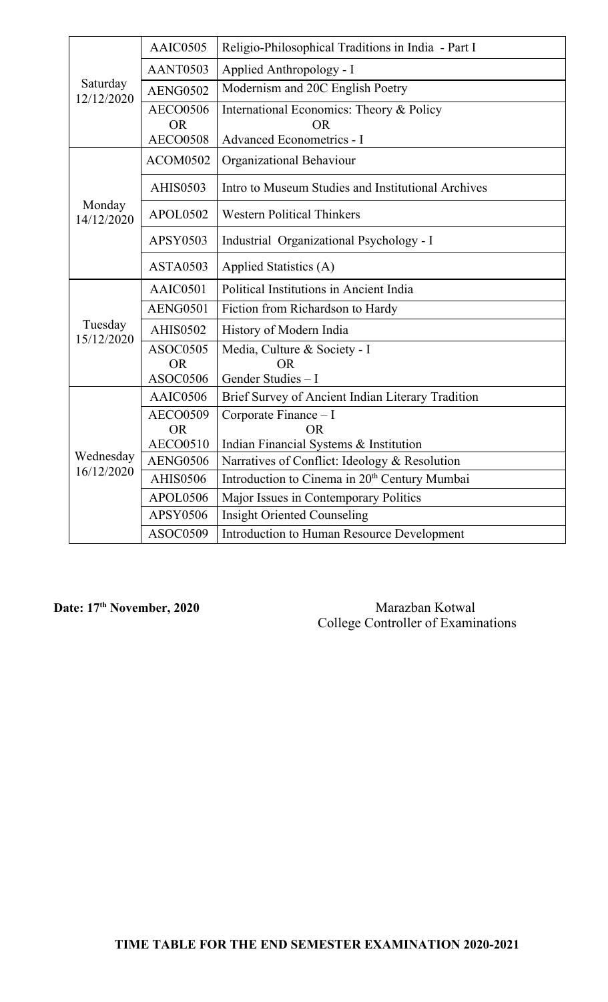| Saturday<br>12/12/2020  | AAIC0505                                        | Religio-Philosophical Traditions in India - Part I                                 |
|-------------------------|-------------------------------------------------|------------------------------------------------------------------------------------|
|                         | AANT0503                                        | Applied Anthropology - I                                                           |
|                         | <b>AENG0502</b>                                 | Modernism and 20C English Poetry                                                   |
|                         | <b>AECO0506</b><br><b>OR</b><br><b>AECO0508</b> | International Economics: Theory & Policy<br><b>OR</b><br>Advanced Econometrics - I |
|                         | ACOM0502                                        | Organizational Behaviour                                                           |
|                         | <b>AHIS0503</b>                                 | Intro to Museum Studies and Institutional Archives                                 |
| Monday<br>14/12/2020    | <b>APOL0502</b>                                 | <b>Western Political Thinkers</b>                                                  |
|                         | APSY0503                                        | Industrial Organizational Psychology - I                                           |
|                         | <b>ASTA0503</b>                                 | Applied Statistics (A)                                                             |
|                         | AAIC0501                                        | Political Institutions in Ancient India                                            |
|                         | AENG0501                                        | Fiction from Richardson to Hardy                                                   |
| Tuesday<br>15/12/2020   | <b>AHIS0502</b>                                 | History of Modern India                                                            |
|                         | <b>ASOC0505</b><br><b>OR</b><br><b>ASOC0506</b> | Media, Culture & Society - I<br><b>OR</b><br>Gender Studies - I                    |
|                         | AAIC0506                                        | Brief Survey of Ancient Indian Literary Tradition                                  |
| Wednesday<br>16/12/2020 | <b>AECO0509</b><br><b>OR</b><br><b>AECO0510</b> | Corporate Finance - I<br><b>OR</b><br>Indian Financial Systems & Institution       |
|                         | <b>AENG0506</b>                                 | Narratives of Conflict: Ideology & Resolution                                      |
|                         | <b>AHIS0506</b>                                 | Introduction to Cinema in 20 <sup>th</sup> Century Mumbai                          |
|                         | APOL0506                                        | Major Issues in Contemporary Politics                                              |
|                         | <b>APSY0506</b>                                 | <b>Insight Oriented Counseling</b>                                                 |
|                         | ASOC0509                                        | Introduction to Human Resource Development                                         |

**Date: 17**

**th November, 2020** Marazban Kotwal College Controller of Examinations